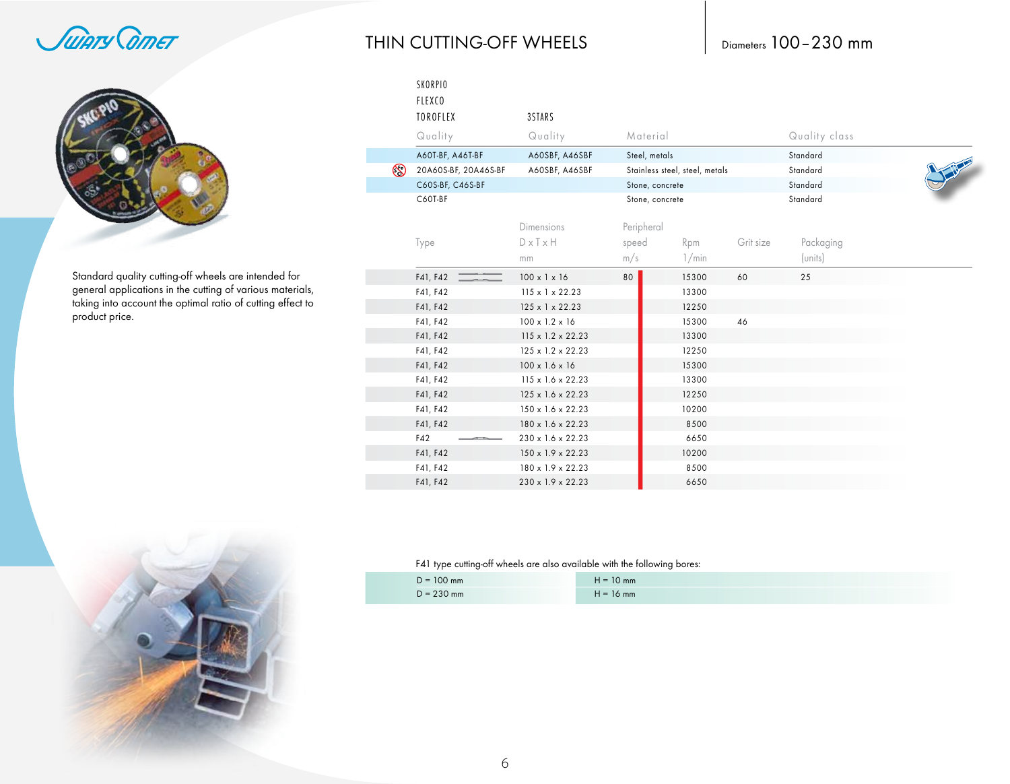Juiary Corner



Standard quality cutting-off wheels are intended for<br>general applications in the cutting of various materials, taking into account the optimal ratio of cutting effect to product price.

### THIN CUTTING-OFF WHEELS

## Diameters 100-230 mm

|                | SKORPIO<br><b>FLEXCO</b><br>TOROFLEX<br>Quality | 3STARS<br>Quality             | Material        |                                |           | Quality class |  |
|----------------|-------------------------------------------------|-------------------------------|-----------------|--------------------------------|-----------|---------------|--|
|                | A60T-BF, A46T-BF                                | A60SBF, A46SBF                | Steel, metals   |                                |           | Standard      |  |
| $\circledcirc$ | 20A60S-BF, 20A46S-BF                            | A60SBF, A46SBF                |                 | Stainless steel, steel, metals |           | Standard      |  |
|                | C60S-BF, C46S-BF                                |                               | Stone, concrete |                                |           | Standard      |  |
|                | C60T-BF                                         |                               |                 | Stone, concrete                |           | Standard      |  |
|                |                                                 | Dimensions                    | Peripheral      |                                |           |               |  |
|                | Type                                            | $D \times T \times H$         | speed           | Rpm                            | Grit size | Packaging     |  |
|                |                                                 | mm                            | m/s             | 1/min                          |           | (units)       |  |
|                | F41, F42                                        | $100 \times 1 \times 16$      | 80              | 15300                          | 60        | 25            |  |
|                | F41, F42                                        | $115 \times 1 \times 22.23$   |                 | 13300                          |           |               |  |
|                | F41, F42                                        | 125 x 1 x 22.23               |                 | 12250                          |           |               |  |
|                | F41, F42                                        | $100 \times 1.2 \times 16$    |                 | 15300                          | 46        |               |  |
|                | F41, F42                                        | $115 \times 1.2 \times 22.23$ |                 | 13300                          |           |               |  |
|                | F41, F42                                        | 125 x 1.2 x 22.23             |                 | 12250                          |           |               |  |
|                | F41, F42                                        | $100 \times 1.6 \times 16$    |                 | 15300                          |           |               |  |
|                | F41, F42                                        | $115 \times 1.6 \times 22.23$ |                 | 13300                          |           |               |  |
|                | F41, F42                                        | 125 x 1.6 x 22.23             |                 | 12250                          |           |               |  |
|                | F41, F42                                        | 150 x 1.6 x 22.23             |                 | 10200                          |           |               |  |
|                | F41, F42                                        | 180 x 1.6 x 22.23             |                 | 8500                           |           |               |  |
|                | F42                                             | 230 x 1.6 x 22.23             |                 | 6650                           |           |               |  |
|                | F41, F42                                        | 150 x 1.9 x 22.23             |                 | 10200                          |           |               |  |
|                | F41, F42                                        | 180 x 1.9 x 22.23             |                 | 8500                           |           |               |  |
|                | F41. F42                                        | $230 \times 1.9 \times 22.23$ |                 | 6650                           |           |               |  |

#### F41 type cutting-off wheels are also available with the following bores:

| $D = 100$ mm | IV mm        |
|--------------|--------------|
| $D = 230$ mm | 16 mm<br>$=$ |

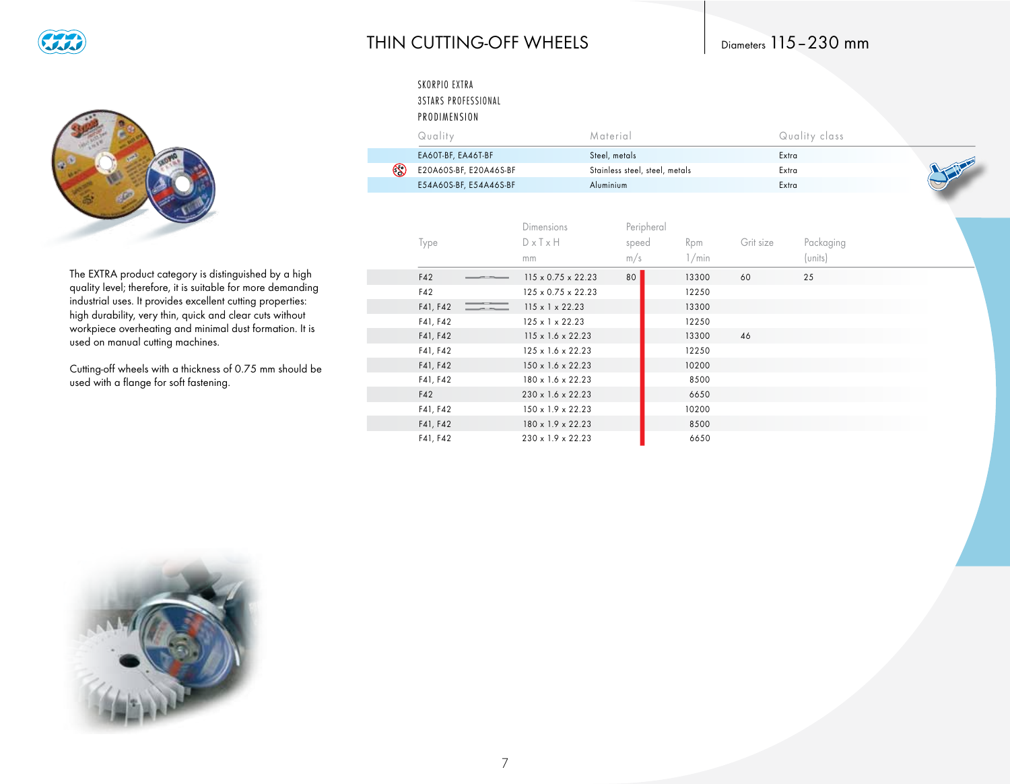

#### THIN CUTTING-OFF WHEELS

### Diameters 115-230 mm



The EXTRA product category is distinguished by a high quality level; therefore, it is suitable for more demanding industrial uses. It provides excellent cutting properties: high durability, very thin, quick and clear cuts without workpiece overheating and minimal dust formation. It is used on manual cutting machines.

Cutting-off wheels with a thickness of 0.75 mm should be used with a flange for soft fastening.

| SKORPIO EXTRA<br><b>3STARS PROFESSIONAL</b><br>PRODIMENSION |                                                  |                                |              |           |                      |
|-------------------------------------------------------------|--------------------------------------------------|--------------------------------|--------------|-----------|----------------------|
| Quality                                                     |                                                  | Material                       |              |           | Quality class        |
| EA60T-BF, EA46T-BF                                          |                                                  | Steel, metals                  |              |           | Extra                |
| $\circledS$<br>E20A60S-BF, E20A46S-BF                       |                                                  | Stainless steel, steel, metals |              |           | Extra                |
| E54A60S-BF, E54A46S-BF                                      |                                                  | Aluminium                      |              |           | Extra                |
| Type                                                        | <b>Dimensions</b><br>$D \times T \times H$<br>mm | Peripheral<br>speed<br>m/s     | Rpm<br>1/min | Grit size | Packaging<br>(units) |
| F42                                                         | $115 \times 0.75 \times 22.23$                   | 80                             | 13300        | 60        | 25                   |
| F42                                                         | $125 \times 0.75 \times 22.23$                   |                                | 12250        |           |                      |
| F41, F42                                                    | $115 \times 1 \times 22.23$                      |                                | 13300        |           |                      |
| F41, F42                                                    | $125 \times 1 \times 22.23$                      |                                | 12250        |           |                      |
| F41, F42                                                    | $115 \times 1.6 \times 22.23$                    |                                | 13300        | 46        |                      |
| F41, F42                                                    | 125 x 1.6 x 22.23                                |                                | 12250        |           |                      |
| F41, F42                                                    | 150 x 1.6 x 22.23                                |                                | 10200        |           |                      |
| F41, F42                                                    | 180 x 1.6 x 22.23                                |                                | 8500         |           |                      |
| F42                                                         | 230 x 1.6 x 22.23                                |                                | 6650         |           |                      |
| F41, F42                                                    | 150 x 1.9 x 22.23                                |                                | 10200        |           |                      |
| F41, F42                                                    | 180 x 1.9 x 22.23                                |                                | 8500         |           |                      |
| F41, F42                                                    | 230 x 1.9 x 22.23                                |                                | 6650         |           |                      |

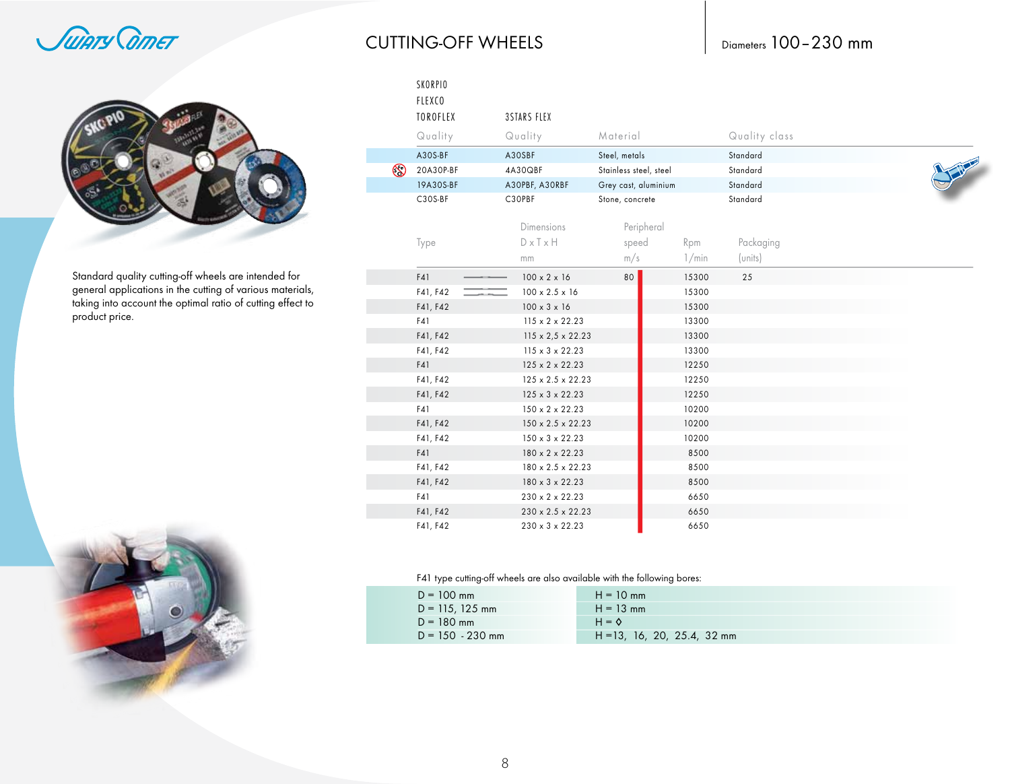Juiary Corner



Standard quality cutting-off wheels are intended for<br>general applications in the cutting of various materials, taking into account the optimal ratio of cutting effect to product price.



**CUTTING-OFF WHEELS** 

|             | SKORPIO<br><b>FLEXCO</b><br><b>TOROFLEX</b> | <b>3STARS FLEX</b>            |                        |       |               |              |
|-------------|---------------------------------------------|-------------------------------|------------------------|-------|---------------|--------------|
|             | Quality                                     | Quality                       | Material               |       | Quality class |              |
|             | A30S-BF                                     | A30SBF                        | Steel, metals          |       | Standard      |              |
| $\circledS$ | 20A30P-BF                                   | 4A30QBF                       | Stainless steel, steel |       | Standard      | <b>There</b> |
|             | 19A30S-BF                                   | A30PBF, A30RBF                | Grey cast, aluminium   |       | Standard      |              |
|             | C30S-BF                                     | C30PBF                        | Stone, concrete        |       | Standard      |              |
|             |                                             | Dimensions                    | Peripheral             |       |               |              |
|             | Type                                        | $D \times T \times H$         | speed                  | Rpm   | Packaging     |              |
|             |                                             | mm                            | m/s                    | 1/min | (units)       |              |
|             | F41                                         | $100 \times 2 \times 16$      | 80                     | 15300 | 25            |              |
|             | F41, F42                                    | $100 \times 2.5 \times 16$    |                        | 15300 |               |              |
|             | F41, F42                                    | $100 \times 3 \times 16$      |                        | 15300 |               |              |
|             | F41                                         | $115 \times 2 \times 22.23$   |                        | 13300 |               |              |
|             | F41, F42                                    | $115 \times 2,5 \times 22.23$ |                        | 13300 |               |              |
|             | F41, F42                                    | $115 \times 3 \times 22.23$   |                        | 13300 |               |              |
|             | F41                                         | $125 \times 2 \times 22.23$   |                        | 12250 |               |              |
|             | F41, F42                                    | $125 \times 2.5 \times 22.23$ |                        | 12250 |               |              |
|             | F41, F42                                    | $125 \times 3 \times 22.23$   |                        | 12250 |               |              |
|             | F41                                         | 150 x 2 x 22.23               |                        | 10200 |               |              |
|             | F41, F42                                    | $150 \times 2.5 \times 22.23$ |                        | 10200 |               |              |
|             | F41, F42                                    | $150 \times 3 \times 22.23$   |                        | 10200 |               |              |
|             | F41                                         | 180 x 2 x 22.23               |                        | 8500  |               |              |
|             | F41, F42                                    | 180 x 2.5 x 22.23             |                        | 8500  |               |              |
|             | F41, F42                                    | 180 x 3 x 22.23               |                        | 8500  |               |              |
|             | F41                                         | $230 \times 2 \times 22.23$   |                        | 6650  |               |              |
|             | F41, F42                                    | 230 x 2.5 x 22.23             |                        | 6650  |               |              |
|             | F41, F42                                    | 230 x 3 x 22.23               |                        | 6650  |               |              |

#### F41 type cutting-off wheels are also available with the following bores:

| $D = 100$ mm       | $H = 10$ mm                   |
|--------------------|-------------------------------|
| $D = 115, 125$ mm  | $H = 13$ mm                   |
| $D = 180$ mm       | $H = \diamondsuit$            |
| $D = 150 - 230$ mm | $H = 13, 16, 20, 25.4, 32$ mm |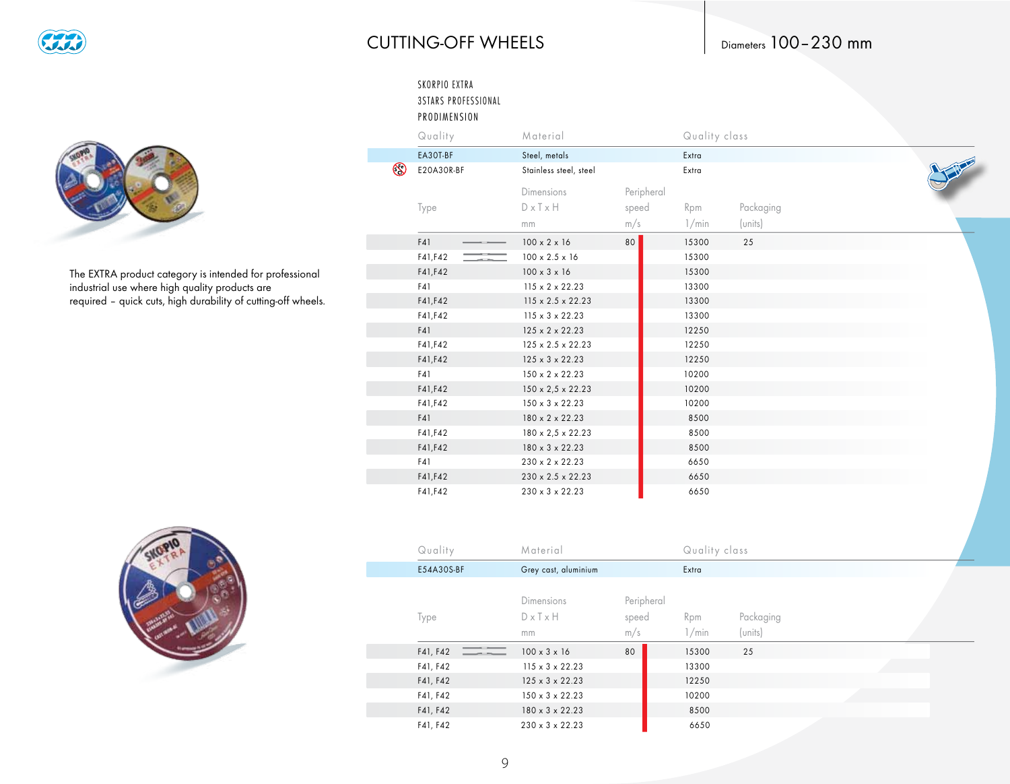

### **CUTTING-OFF WHEELS**

#### SKORPIO EXTRA 3STARS PROFESSIONAL PRODIMENSION

|             | Quality    | Material                      |            | Quality class |           |
|-------------|------------|-------------------------------|------------|---------------|-----------|
|             | EA30T-BF   | Steel, metals                 |            | Extra         |           |
| $\circledS$ | E20A30R-BF | Stainless steel, steel        |            | Extra         |           |
|             |            | Dimensions                    | Peripheral |               |           |
|             | Type       | $D \times T \times H$         | speed      | Rpm           | Packaging |
|             |            | mm                            | m/s        | 1/min         | (units)   |
|             | F41        | $100 \times 2 \times 16$      | 80         | 15300         | 25        |
|             | F41, F42   | $100 \times 2.5 \times 16$    |            | 15300         |           |
|             | F41, F42   | $100 \times 3 \times 16$      |            | 15300         |           |
|             | F41        | $115 \times 2 \times 22.23$   |            | 13300         |           |
|             | F41, F42   | $115 \times 2.5 \times 22.23$ |            | 13300         |           |
|             | F41, F42   | $115 \times 3 \times 22.23$   |            | 13300         |           |
|             | F41        | $125 \times 2 \times 22.23$   |            | 12250         |           |
|             | F41, F42   | $125 \times 2.5 \times 22.23$ |            | 12250         |           |
|             | F41, F42   | $125 \times 3 \times 22.23$   |            | 12250         |           |
|             | F41        | $150 \times 2 \times 22.23$   |            | 10200         |           |
|             | F41, F42   | $150 \times 2,5 \times 22.23$ |            | 10200         |           |
|             | F41, F42   | $150 \times 3 \times 22.23$   |            | 10200         |           |
|             | F41        | 180 x 2 x 22.23               |            | 8500          |           |
|             | F41, F42   | $180 \times 2.5 \times 22.23$ |            | 8500          |           |
|             | F41, F42   | 180 x 3 x 22.23               |            | 8500          |           |
|             | F41        | 230 x 2 x 22.23               |            | 6650          |           |
|             | F41, F42   | 230 x 2.5 x 22.23             |            | 6650          |           |
|             | F41, F42   | $230 \times 3 \times 22.23$   |            | 6650          |           |



The EXTRA product category is intended for professional<br>industrial use where high quality products are required - quick cuts, high durability of cutting-off wheels.



| Quality    | Material                    |            |       | Quality class |  |  |  |  |  |
|------------|-----------------------------|------------|-------|---------------|--|--|--|--|--|
| E54A30S-BF | Grey cast, aluminium        |            | Extra |               |  |  |  |  |  |
|            |                             |            |       |               |  |  |  |  |  |
|            | <b>Dimensions</b>           | Peripheral |       |               |  |  |  |  |  |
| Type       | $D \times Tx$ H             | speed      | Rpm   | Packaging     |  |  |  |  |  |
|            | mm                          | m/s        | 1/min | (units)       |  |  |  |  |  |
| F41, F42   | $100 \times 3 \times 16$    | 80         | 15300 | 25            |  |  |  |  |  |
| F41, F42   | $115 \times 3 \times 22.23$ |            | 13300 |               |  |  |  |  |  |
| F41, F42   | $125 \times 3 \times 22.23$ |            | 12250 |               |  |  |  |  |  |
| F41, F42   | $150 \times 3 \times 22.23$ |            | 10200 |               |  |  |  |  |  |
| F41, F42   | $180 \times 3 \times 22.23$ |            | 8500  |               |  |  |  |  |  |
| F41, F42   | $230 \times 3 \times 22.23$ |            | 6650  |               |  |  |  |  |  |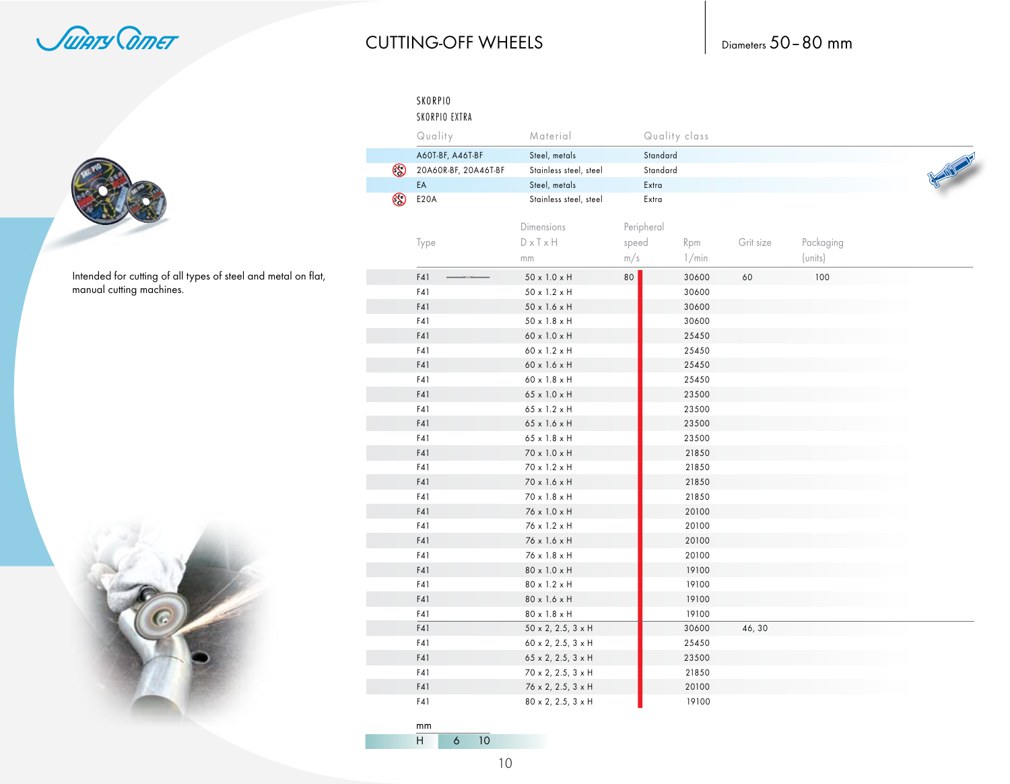Juiary Corner

# **CUTTING-OFF WHEELS**

Diameters 50-80 mm

Intended for cutting of all types of steel and metal on flat, manual cutting machines.



|             | SKORPIO<br>SKORPIO EXTRA |                                   |       |               |           |           |                   |
|-------------|--------------------------|-----------------------------------|-------|---------------|-----------|-----------|-------------------|
|             | Quality                  | Material                          |       | Quality class |           |           |                   |
|             | A60T-BF, A46T-BF         | Steel, metals                     |       | Standard      |           |           |                   |
| $\odot$     | 20A60R-BF, 20A46T-BF     | Stainless steel, steel            |       | Standard      |           |           | <b>CONTRACTOR</b> |
|             | EA                       | Steel, metals                     |       | Extra         |           |           |                   |
| $\circledS$ | <b>E20A</b>              | Stainless steel, steel            |       | Extra         |           |           |                   |
|             |                          | Dimensions                        |       | Peripheral    |           |           |                   |
|             |                          |                                   |       |               |           |           |                   |
|             | Type                     | $D \times T \times H$             | speed | Rpm           | Grit size | Packaging |                   |
|             |                          | mm                                | m/s   | 1/min         |           | (units)   |                   |
|             | F41                      | 50 x 1.0 x H                      | 80    | 30600         | 60        | 100       |                   |
|             | F41                      | 50 x 1.2 x H                      |       | 30600         |           |           |                   |
|             | F41                      | 50 x 1.6 x H                      |       | 30600         |           |           |                   |
|             | F41                      | $50 \times 1.8 \times H$          |       | 30600         |           |           |                   |
|             | F41                      | 60 x 1.0 x H                      |       | 25450         |           |           |                   |
|             | F41                      | 60 x 1.2 x H                      |       | 25450         |           |           |                   |
|             | F41                      | $60 \times 1.6 \times H$          |       | 25450         |           |           |                   |
|             | F41                      | $60 \times 1.8 \times H$          |       | 25450         |           |           |                   |
|             | F41                      | 65 x 1.0 x H                      |       | 23500         |           |           |                   |
|             | F41                      | 65 x 1.2 x H                      |       | 23500         |           |           |                   |
|             | F41                      | 65 x 1.6 x H                      |       | 23500         |           |           |                   |
|             | F41                      | $65 \times 1.8 \times H$          |       | 23500         |           |           |                   |
|             | F41                      | 70 x 1.0 x H                      |       | 21850         |           |           |                   |
|             | F41                      | 70 x 1.2 x H                      |       | 21850         |           |           |                   |
|             | F41                      | 70 x 1.6 x H                      |       | 21850         |           |           |                   |
|             | F41                      | 70 x 1.8 x H                      |       | 21850         |           |           |                   |
|             | F41                      | 76 x 1.0 x H                      |       | 20100         |           |           |                   |
|             | F41                      | 76 x 1.2 x H                      |       | 20100         |           |           |                   |
|             | F41                      | 76 x 1.6 x H                      |       | 20100         |           |           |                   |
|             | F41                      | 76 x 1.8 x H                      |       | 20100         |           |           |                   |
|             | F41                      | 80 x 1.0 x H                      |       | 19100         |           |           |                   |
|             | F41                      | 80 x 1.2 x H                      |       | 19100         |           |           |                   |
|             | F41                      | 80 x 1.6 x H                      |       | 19100         |           |           |                   |
|             | F41                      | 80 x 1.8 x H                      |       | 19100         |           |           |                   |
|             | F41                      | $50 \times 2$ , 2.5, 3 $\times$ H |       | 30600         | 46, 30    |           |                   |
|             | F41                      | 60 x 2, 2.5, 3 x H                |       | 25450         |           |           |                   |
|             | F41                      | $65 \times 2$ , 2.5, 3 $\times$ H |       | 23500         |           |           |                   |
|             | F41                      | $70 \times 2, 2.5, 3 \times H$    |       | 21850         |           |           |                   |
|             | F41                      | 76 x 2, 2.5, 3 x H                |       | 20100         |           |           |                   |
|             | F41                      | 80 x 2, 2.5, 3 x H                |       | 19100         |           |           |                   |
|             | mm.                      |                                   |       |               |           |           |                   |

 $6 \overline{\smash)10}$  $H$